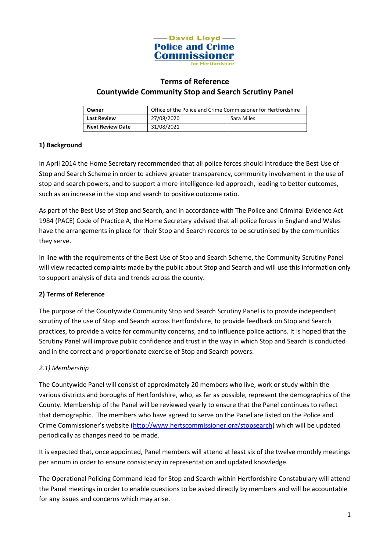

# **Terms of Reference Countywide Community Stop and Search Scrutiny Panel**

| Owner                   | Office of the Police and Crime Commissioner for Hertfordshire |            |
|-------------------------|---------------------------------------------------------------|------------|
| <b>Last Review</b>      | 27/08/2020                                                    | Sara Miles |
| <b>Next Review Date</b> | 31/08/2021                                                    |            |

# **1) Background**

In April 2014 the Home Secretary recommended that all police forces should introduce the Best Use of Stop and Search Scheme in order to achieve greater transparency, community involvement in the use of stop and search powers, and to support a more intelligence-led approach, leading to better outcomes, such as an increase in the stop and search to positive outcome ratio.

As part of the Best Use of Stop and Search, and in accordance with The Police and Criminal Evidence Act 1984 (PACE) Code of Practice A, the Home Secretary advised that all police forces in England and Wales have the arrangements in place for their Stop and Search records to be scrutinised by the communities they serve.

In line with the requirements of the Best Use of Stop and Search Scheme, the Community Scrutiny Panel will view redacted complaints made by the public about Stop and Search and will use this information only to support analysis of data and trends across the county.

#### **2) Terms of Reference**

The purpose of the Countywide Community Stop and Search Scrutiny Panel is to provide independent scrutiny of the use of Stop and Search across Hertfordshire, to provide feedback on Stop and Search practices, to provide a voice for community concerns, and to influence police actions. It is hoped that the Scrutiny Panel will improve public confidence and trust in the way in which Stop and Search is conducted and in the correct and proportionate exercise of Stop and Search powers.

#### *2.1) Membership*

The Countywide Panel will consist of approximately 20 members who live, work or study within the various districts and boroughs of Hertfordshire, who, as far as possible, represent the demographics of the County. Membership of the Panel will be reviewed yearly to ensure that the Panel continues to reflect that demographic. The members who have agreed to serve on the Panel are listed on the Police and Crime Commissioner's website ([http://www.hertscommissioner.org/stopsearch\)](http://www.hertscommissioner.org/stopsearch) which will be updated periodically as changes need to be made.

It is expected that, once appointed, Panel members will attend at least six of the twelve monthly meetings per annum in order to ensure consistency in representation and updated knowledge.

The Operational Policing Command lead for Stop and Search within Hertfordshire Constabulary will attend the Panel meetings in order to enable questions to be asked directly by members and will be accountable for any issues and concerns which may arise.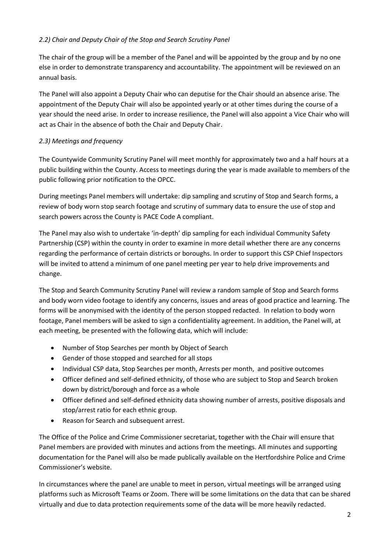## *2.2) Chair and Deputy Chair of the Stop and Search Scrutiny Panel*

The chair of the group will be a member of the Panel and will be appointed by the group and by no one else in order to demonstrate transparency and accountability. The appointment will be reviewed on an annual basis.

The Panel will also appoint a Deputy Chair who can deputise for the Chair should an absence arise. The appointment of the Deputy Chair will also be appointed yearly or at other times during the course of a year should the need arise. In order to increase resilience, the Panel will also appoint a Vice Chair who will act as Chair in the absence of both the Chair and Deputy Chair.

# *2.3) Meetings and frequency*

The Countywide Community Scrutiny Panel will meet monthly for approximately two and a half hours at a public building within the County. Access to meetings during the year is made available to members of the public following prior notification to the OPCC.

During meetings Panel members will undertake: dip sampling and scrutiny of Stop and Search forms, a review of body worn stop search footage and scrutiny of summary data to ensure the use of stop and search powers across the County is PACE Code A compliant.

The Panel may also wish to undertake 'in-depth' dip sampling for each individual Community Safety Partnership (CSP) within the county in order to examine in more detail whether there are any concerns regarding the performance of certain districts or boroughs. In order to support this CSP Chief Inspectors will be invited to attend a minimum of one panel meeting per year to help drive improvements and change.

The Stop and Search Community Scrutiny Panel will review a random sample of Stop and Search forms and body worn video footage to identify any concerns, issues and areas of good practice and learning. The forms will be anonymised with the identity of the person stopped redacted. In relation to body worn footage, Panel members will be asked to sign a confidentiality agreement. In addition, the Panel will, at each meeting, be presented with the following data, which will include:

- Number of Stop Searches per month by Object of Search
- Gender of those stopped and searched for all stops
- Individual CSP data, Stop Searches per month, Arrests per month, and positive outcomes
- Officer defined and self-defined ethnicity, of those who are subject to Stop and Search broken down by district/borough and force as a whole
- Officer defined and self-defined ethnicity data showing number of arrests, positive disposals and stop/arrest ratio for each ethnic group.
- Reason for Search and subsequent arrest.

The Office of the Police and Crime Commissioner secretariat, together with the Chair will ensure that Panel members are provided with minutes and actions from the meetings. All minutes and supporting documentation for the Panel will also be made publically available on the Hertfordshire Police and Crime Commissioner's website.

In circumstances where the panel are unable to meet in person, virtual meetings will be arranged using platforms such as Microsoft Teams or Zoom. There will be some limitations on the data that can be shared virtually and due to data protection requirements some of the data will be more heavily redacted.